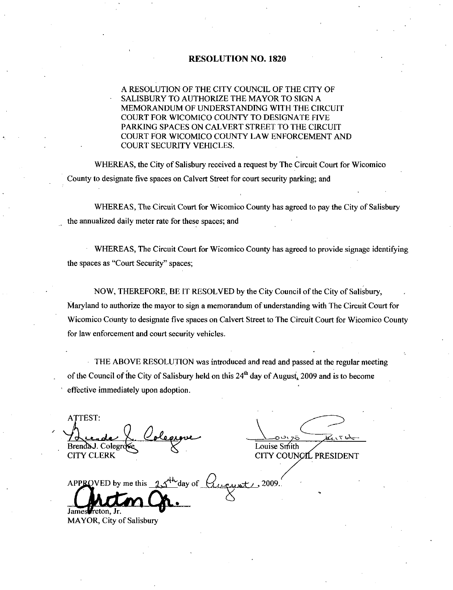#### RESOLUTION NO. 1820

#### A RESOLUTION OF THE CITY COUNCIL OF THE CITY OF SALISBURY TO AUTHORIZE THE MAYOR TO SIGN A MEMORANDUM OF UNDERSTANDING WITH THE CIRCUIT COURT FOR WICOMICO COUNTY TO DESIGNATE FIVE PARKING SPACES ON CALVERT STREET TO THE CIRCUIT COURT FOR WICOMICO COUNTY LAW ENFORCEMENT AND COURT SECURITY VEHICLES

WHEREAS, the City of Salisbury received a request by The Circuit Court for Wicomico County to designate five spaces on Calvert Street for court security parking; and

WHEREAS, The Circuit Court for Wicomico County has agreed to pay the City of Salisbury the annualized daily meter rate for these spaces; and

WHEREAS, The Circuit Court for Wicomico County has agreed to provide signage identifying the spaces as "Court Security" spaces;

NOW, THEREFORE, BE IT RESOLVED by the City Council of the City of Salisbury, Maryland to authorize the mayor to sign a memorandum of understanding with The Circuit Court for Wicomico County to designate five spaces on Calvert Street to The Circuit Court for Wicomico County for law enforcement and court security vehicles

THE ABOVE RESOLUTION was introduced and read and passed at the regular meeting of the Council of the City of Salisbury held on this  $24<sup>th</sup>$  day of August, 2009 and is to become effective immediately upon adoption

ATTEST Brenda J. Colegroffs Colegroffs CITY COUN

v CITY COUNCIL PRESIDENT

 $\frac{10.06 \text{ MeV}}{\text{Brendal.} \cdot \text{Colegroles}}$ <br>CITY CLERK<br>APPROVED by me this  $25^{4h}$  day of aust 1, 2009.<br><mark>S</mark> James *reton*, Jr.

MAYOR, City of Salisbury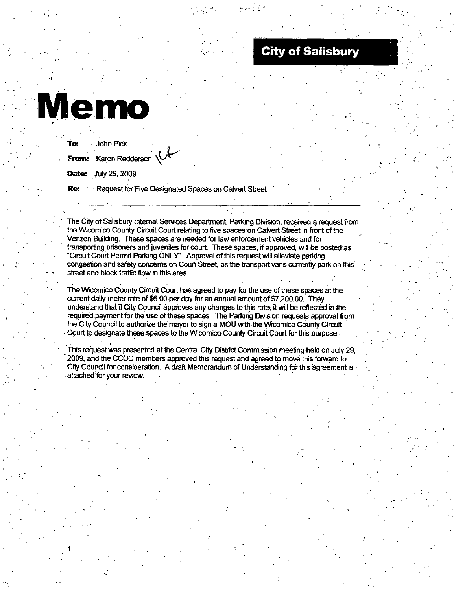# **City of Salisbury**

# **Memo**

t

| <b>To:</b> John Pick                                            |
|-----------------------------------------------------------------|
| From: Karen Reddersen                                           |
| <b>Date:</b> July 29, 2009                                      |
| <b>Re:</b> Request for Five Designated Spaces on Calvert Street |

The City of Salisbury Internal Services Department, Parking Division, received a request from The City of Salisbury Internal Services Department, Parking Division, received a request<br>the Wicomico County Circuit Court relating to five spaces on Calvert Street in front of the<br>Verizon Building. These spaces are needed Verizon Building. These spaces are needed for law enforcement vehicles and for transporting prisoners and juveniles for court. These spaces, if approved, will be posted as the Wicomico County Circuit Court relating to five spaces on Calvert Street in front<br>Verizon Building. These spaces are needed for law enforcement vehicles and for<br>transporting prisoners and juveniles for court. These spac street and block traffic flow in this area.

congestion and safety concerns on Court Street, as the transport vans currently park on this street and block traffic flow in this area.<br>The Wicomico County Circuit Court has agreed to pay for the use of these spaces at th The Wicomico County Circuit Court has agreed to pay for the use of these spaces at the current daily meter rate of \$6.00 per day for an annual amount of \$7,200.00. They understand that if City Council approves any changes to this rate, it will be reflected in the required payment for the use of these spaces. The Parking Division requests approval from the City Couhcil to authorize the mayorto sign aMOU with the Wcomico County Circuit Court to designate these spaces to the Wicomico County Circuit Court for this purpose.

This request was presented at the Central City District Commission meeting held on July 29. 2009 and the CCDGmembers approved this request and agreed to move this forward to City Council for consideration. A draft Memorandum of Understanding for this agreement is attached for your review.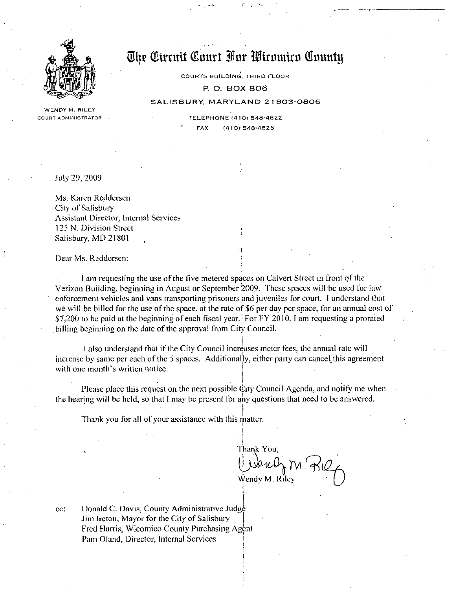

WENDY M. RILEY

The<br> tirruit Court For Wicomico County

COURTS BUILDING THIRD FLOOR

P. O. BOX 806

#### SALISBURY, MARYLAND 21803-0806

WENDY M. RILEY<br>COURT ADMINISTRATOR RELEPHONE 410j 548-4822 LEPHONE (410) 548-48:<br>FAX (410) 548-4826

Suly 29 2009

Ms. Karen Reddersen City of Salisbury Assistant Director, Internal Services <sup>125</sup> N Division Street Salisbury, MD 21801

Dear Ms. Reddersen:

I am requesting the use of the five metered spaces on Calvert Street in front of the Verizon Building, beginning in August or September 2009. These spaces will be used for law enforcement vehicles and vans transporting prisoners and juveniles for court. I understand that we will be billed for the use of the space, at the rate of \$6 per day per space, for an annual cost \$7,200 to be paid at the we will be billed for the use of the space, at the rate of \$6 per day per space, for an annual cost of \$7,200 to be paid at the beginning of each fiscal year. For FY 2010, I am requesting a prorated billing beginning on the date of the approval from City Council.

I also understand that if the City Council increases meter fees, the annual rate will increase by same per each of the 5 spaces. Additionally, either party can cancel, this agreement<br>with one month's written notice. I also understand that if<br>I also understand that if<br>increase by same per each of the<br>with one month's written notice.

Please place this request on the next possible  $\dot{C}$ ity Council Agenda, and notify me when the hearing will be held, so that I may be present for any questions that need to be answered.

I

Thank you for all of your assistance with this matter.

Thank You, Wendy M. Riley

cc: Donald C. Davis, County Administrative Judge Jim Ireton, Mayor for the City of Salisbury Fred Harris, Wicomico County Purchasing Agent Pam Oland, Director, Internal Services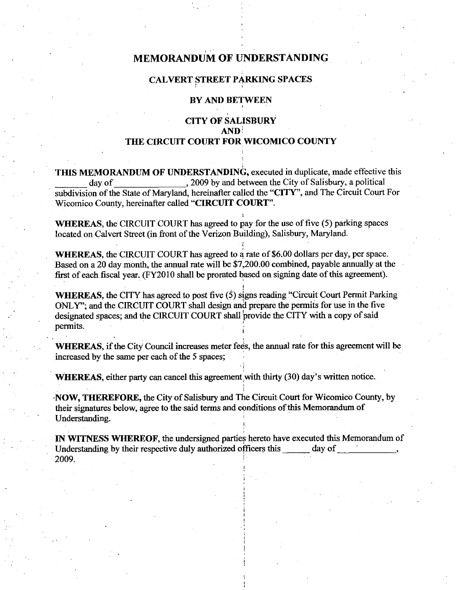# MEMORANDUM OF UNDERSTANDING

## CALVERT STREET PARKING SPACES

# BYAND BETWEEN

# CITY OF SALISBURY AND THE CIRCUIT COURT FOR WICOMICO COUNTY

THIS MEMORANDUM OF UNDERSTANDING, executed in duplicate, made effective this day of 2009 by and between the City of Salisbury, a political subdivision of the State of Maryland, hereinafter called the "CITY", and The Circuit Court For Wicomico County, hereinafter called "CIRCUIT COURT".

WHEREAS, the CIRCUIT COURT has agreed to pay for the use of five (5) parking spaces

located on Calvert Street (in front of the Verizon Building), Salisbury, Maryland.<br>WHEREAS, the CIRCUIT COURT has agreed to a rate of \$6.00 dollars per day, per space. WHEREAS, the CIRCUIT COURT has agreed to pay for the use of five (5) parking spaces<br>located on Calvert Street (in front of the Verizon Building), Salisbury, Maryland.<br>WHEREAS, the CIRCUIT COURT has agreed to a rate of \$6.0 Based on a 20 day month, the annual rate will be \$7,200.00 combined, payable annually at the first of each fiscal year. (FY2010 shall be prorated based on signing date of this agreement).

WHEREAS, the CITY has agreed to post five  $(5)$  signs reading "Circuit Court Permit Parking ONLY"; and the CIRCUIT COURT shall design and prepare the permits for use in the five designated spaces; and the CIRCUIT COURT shall provide the CITY with a copy of said permits. **permits.**  $\frac{1}{3}$ 

WHEREAS, if the City Council increases meter fees, the annual rate for this agreement will be increased by the same per each of the <sup>5</sup> spaces

WHEREAS, either party can cancel this agreement with thirty (30) day's written notice.

NOW, THEREFORE, the City of Salisbury and The Circuit Court for Wicomico County, by their signatures below, agree to the said terms and conditions of this Memorandum of Understanding

IN WITNESS WHEREOF, the undersigned parties hereto have executed this Memorandum of Understanding by their respective duly authorized officers this day of Understanding by their respective duly authorized officers this  $2009.$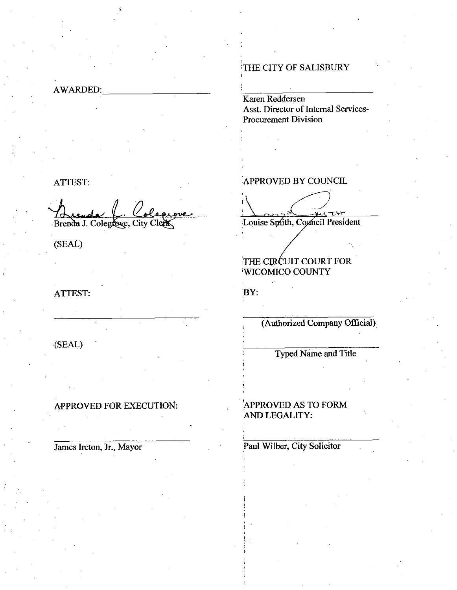AWARDED

#### ATTEST

ATTEST:<br>Autres C. Colegnes<br>Brenda J. Colegnese, City Clerk

(SEAL)

# ATTEST

# SEAL

APPROVED FOR EXECUTION:

James Ireton, Jr., Mayor

# THE CITY OF SALISBURY

Karen Reddersen Asst. Director of Internal Services-Procurement Division

# APPROVED BY COUNCIL

 $\wedge$ <u>ن 754 </u>

Louise Smith, Council President

# THE CIRCUIT COURT FOR WICOMICO COUNTY

BY:

i

i

 $\begin{bmatrix} 1 & 1 & 1 \\ 1 & 1 & 1 \\ 1 & 1 & 1 \\ 1 & 1 & 1 \\ 1 & 1 & 1 \\ 1 & 1 & 1 \\ 1 & 1 & 1 \\ 1 & 1 & 1 \\ 1 & 1 & 1 \\ 1 & 1 & 1 \\ 1 & 1 & 1 \\ 1 & 1 & 1 \\ 1 & 1 & 1 \\ 1 & 1 & 1 \\ 1 & 1 & 1 \\ 1 & 1 & 1 \\ 1 & 1 & 1 \\ 1 & 1 & 1 \\ 1 & 1 & 1 \\ 1 & 1 & 1 & 1 \\ 1 & 1 & 1 & 1 \\ 1 & 1 & 1 & 1 \\ 1 & 1 &$ 

Authorized Company Official

Typed Name and Title

# APPROVED AS TO FORM AND LEGALITY

# Paul Wilber, City Solicitor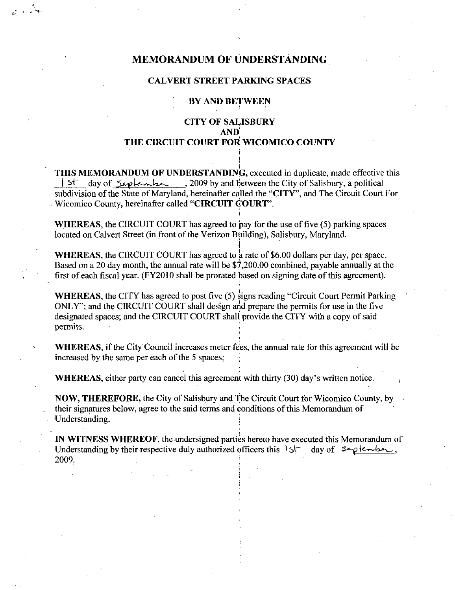# MEMORANDUM OF UNDERSTANDING

#### CALVERT STREET PARKING SPACES

## BY AND BETWEEN

# CITY OF SALISBURY AND) THE CIRCUIT COURT FOR WICOMICO COUNTY

THIS MEMORANDUM OF UNDERSTANDING, executed in duplicate, made effective this<br> $\begin{array}{r} \n\end{array}$   $\begin{array}{r} \n\end{array}$  and  $\begin{array}{r} \n\end{array}$  and  $\begin{array}{r} \n\end{array}$  and  $\begin{array}{r} \n\end{array}$  and  $\begin{array}{r} \n\end{array}$  and  $\begin{array}{r} \n\end{array}$  and CITY OF SALISBURY<br>
AND<br>
THE CIRCUIT COURT FOR WICOMICO COUNTY<br>
IS MEMORANDUM OF UNDERSTANDING, executed in duplicate, made effective<br>
St day of September 2009 by and between the City of Salisbury, a political<br>
division of subdivision of the State of Maryland, hereinafter called the "CITY", and The Circuit Court For Wicomico County, hereinafter called "CIRCUIT COURT".

WHEREAS, the CIRCUIT COURT has agreed to pay for the use of five  $(5)$  parking spaces located on Calvert Street (in front of the Verizon Building), Salisbury, Maryland.

WHEREAS, the CIRCUIT COURT has agreed to a rate of \$6.00 dollars per day, per space. Based on a 20 day month, the annual rate will be \$7,200.00 combined, payable annually at the first of each fiscal year. (FY2010 shall be prorated based on signing date of this agreement).

a

**WHEREAS, the CITY has agreed to post five**  $(5)$  **signs reading "Circuit Court Permit Parking** ONLY"; and the CIRCUIT COURT shall design and prepare the permits for use in the five designated spaces; and the CIRCUIT COURT shall provide the CITY with a copy of said permits

WHEREAS, if the City Council increases meter fees, the annual rate for this agreement will be increased by the same per each of the 5 spaces increased by the same per each of the 5 spaces;<br>WHEREAS, either party can cancel this agreement with thirty (30) day's

written notice

NOW, THEREFORE, the City of Salisbury and The Circuit Court for Wicomico County, by their signatures below, agree to the said terms and conditions of this Memorandum of Understanding

IN WITNESS WHEREOF, the undersigned parties hereto have executed this Memorandum of NOW, IHEREFORE, the City of Salisbury and The Circuit Court for Wicomico County, by<br>their signatures below, agree to the said terms and conditions of this Memorandum of<br>Understanding.<br>IN WITNESS WHEREOF, the undersigned p  $2009.$